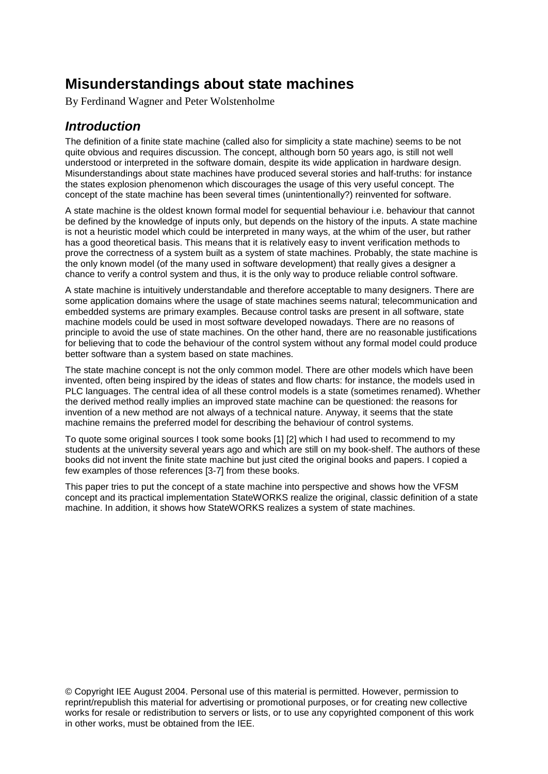# **Misunderstandings about state machines**

By Ferdinand Wagner and Peter Wolstenholme

## *Introduction*

The definition of a finite state machine (called also for simplicity a state machine) seems to be not quite obvious and requires discussion. The concept, although born 50 years ago, is still not well understood or interpreted in the software domain, despite its wide application in hardware design. Misunderstandings about state machines have produced several stories and half-truths: for instance the states explosion phenomenon which discourages the usage of this very useful concept. The concept of the state machine has been several times (unintentionally?) reinvented for software.

A state machine is the oldest known formal model for sequential behaviour i.e. behaviour that cannot be defined by the knowledge of inputs only, but depends on the history of the inputs. A state machine is not a heuristic model which could be interpreted in many ways, at the whim of the user, but rather has a good theoretical basis. This means that it is relatively easy to invent verification methods to prove the correctness of a system built as a system of state machines. Probably, the state machine is the only known model (of the many used in software development) that really gives a designer a chance to verify a control system and thus, it is the only way to produce reliable control software.

A state machine is intuitively understandable and therefore acceptable to many designers. There are some application domains where the usage of state machines seems natural; telecommunication and embedded systems are primary examples. Because control tasks are present in all software, state machine models could be used in most software developed nowadays. There are no reasons of principle to avoid the use of state machines. On the other hand, there are no reasonable justifications for believing that to code the behaviour of the control system without any formal model could produce better software than a system based on state machines.

The state machine concept is not the only common model. There are other models which have been invented, often being inspired by the ideas of states and flow charts: for instance, the models used in PLC languages. The central idea of all these control models is a state (sometimes renamed). Whether the derived method really implies an improved state machine can be questioned: the reasons for invention of a new method are not always of a technical nature. Anyway, it seems that the state machine remains the preferred model for describing the behaviour of control systems.

To quote some original sources I took some books [1] [2] which I had used to recommend to my students at the university several years ago and which are still on my book-shelf. The authors of these books did not invent the finite state machine but just cited the original books and papers. I copied a few examples of those references [3-7] from these books.

This paper tries to put the concept of a state machine into perspective and shows how the VFSM concept and its practical implementation StateWORKS realize the original, classic definition of a state machine. In addition, it shows how StateWORKS realizes a system of state machines.

© Copyright IEE August 2004. Personal use of this material is permitted. However, permission to reprint/republish this material for advertising or promotional purposes, or for creating new collective works for resale or redistribution to servers or lists, or to use any copyrighted component of this work in other works, must be obtained from the IEE.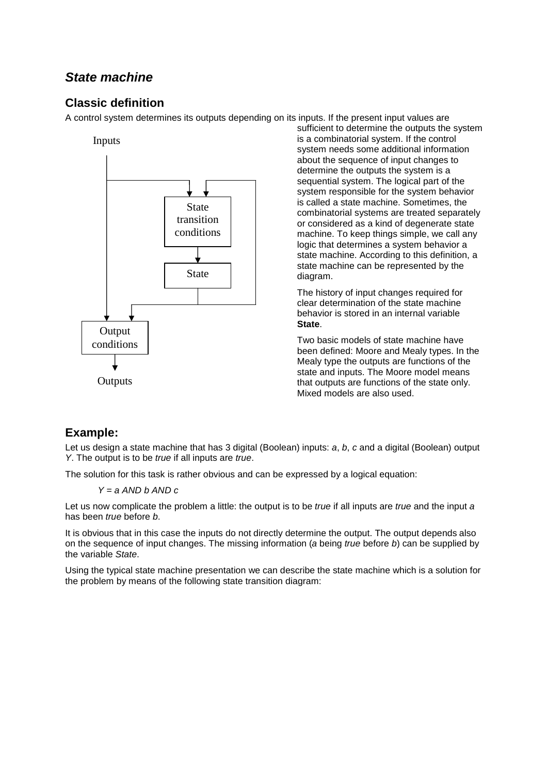## *State machine*

### **Classic definition**

A control system determines its outputs depending on its inputs. If the present input values are

#### Inputs



sufficient to determine the outputs the system is a combinatorial system. If the control system needs some additional information about the sequence of input changes to determine the outputs the system is a sequential system. The logical part of the system responsible for the system behavior is called a state machine. Sometimes, the combinatorial systems are treated separately or considered as a kind of degenerate state machine. To keep things simple, we call any logic that determines a system behavior a state machine. According to this definition, a state machine can be represented by the diagram.

The history of input changes required for clear determination of the state machine behavior is stored in an internal variable **State**.

Two basic models of state machine have been defined: Moore and Mealy types. In the Mealy type the outputs are functions of the state and inputs. The Moore model means that outputs are functions of the state only. Mixed models are also used.

### **Example:**

Let us design a state machine that has 3 digital (Boolean) inputs: *a*, *b*, *c* and a digital (Boolean) output *Y*. The output is to be *true* if all inputs are *true*.

The solution for this task is rather obvious and can be expressed by a logical equation:

*Y = a AND b AND c*

Let us now complicate the problem a little: the output is to be *true* if all inputs are *true* and the input *a* has been *true* before *b*.

It is obvious that in this case the inputs do not directly determine the output. The output depends also on the sequence of input changes. The missing information (*a* being *true* before *b*) can be supplied by the variable *State*.

Using the typical state machine presentation we can describe the state machine which is a solution for the problem by means of the following state transition diagram: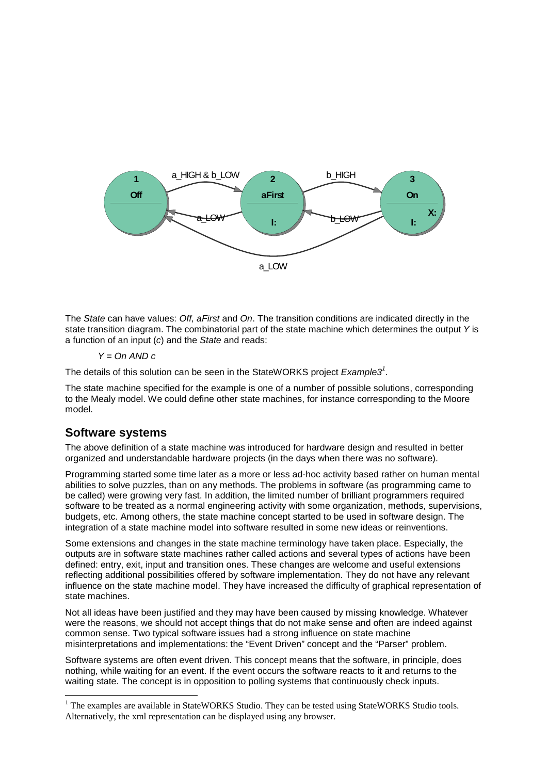

The *State* can have values: *Off, aFirst* and *On*. The transition conditions are indicated directly in the state transition diagram. The combinatorial part of the state machine which determines the output *Y* is a function of an input (*c*) and the *State* and reads:

#### *Y = On AND c*

The details of this solution can be seen in the StateWORKS project *Example3 1* .

The state machine specified for the example is one of a number of possible solutions, corresponding to the Mealy model. We could define other state machines, for instance corresponding to the Moore model.

#### **Software systems**

 $\overline{a}$ 

The above definition of a state machine was introduced for hardware design and resulted in better organized and understandable hardware projects (in the days when there was no software).

Programming started some time later as a more or less ad-hoc activity based rather on human mental abilities to solve puzzles, than on any methods. The problems in software (as programming came to be called) were growing very fast. In addition, the limited number of brilliant programmers required software to be treated as a normal engineering activity with some organization, methods, supervisions, budgets, etc. Among others, the state machine concept started to be used in software design. The integration of a state machine model into software resulted in some new ideas or reinventions.

Some extensions and changes in the state machine terminology have taken place. Especially, the outputs are in software state machines rather called actions and several types of actions have been defined: entry, exit, input and transition ones. These changes are welcome and useful extensions reflecting additional possibilities offered by software implementation. They do not have any relevant influence on the state machine model. They have increased the difficulty of graphical representation of state machines.

Not all ideas have been justified and they may have been caused by missing knowledge. Whatever were the reasons, we should not accept things that do not make sense and often are indeed against common sense. Two typical software issues had a strong influence on state machine misinterpretations and implementations: the "Event Driven" concept and the "Parser" problem.

Software systems are often event driven. This concept means that the software, in principle, does nothing, while waiting for an event. If the event occurs the software reacts to it and returns to the waiting state. The concept is in opposition to polling systems that continuously check inputs.

<sup>&</sup>lt;sup>1</sup> The examples are available in StateWORKS Studio. They can be tested using StateWORKS Studio tools. Alternatively, the xml representation can be displayed using any browser.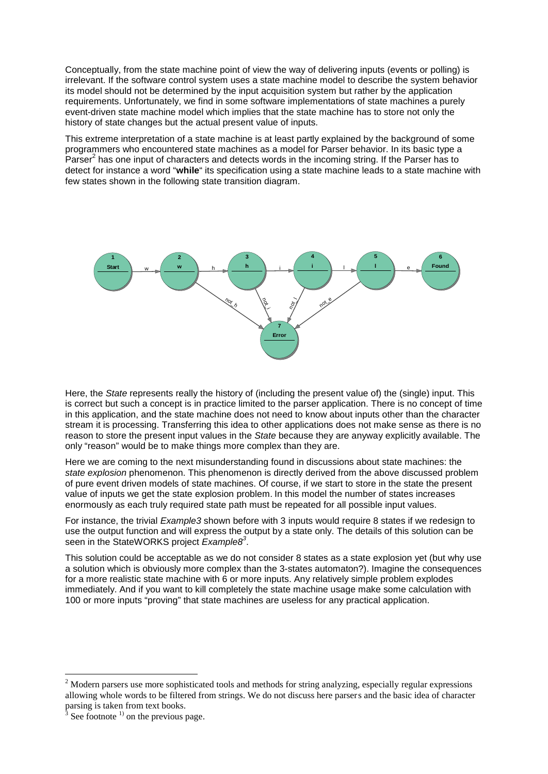Conceptually, from the state machine point of view the way of delivering inputs (events or polling) is irrelevant. If the software control system uses a state machine model to describe the system behavior its model should not be determined by the input acquisition system but rather by the application requirements. Unfortunately, we find in some software implementations of state machines a purely event-driven state machine model which implies that the state machine has to store not only the history of state changes but the actual present value of inputs.

This extreme interpretation of a state machine is at least partly explained by the background of some programmers who encountered state machines as a model for Parser behavior. In its basic type a Parser<sup>2</sup> has one input of characters and detects words in the incoming string. If the Parser has to detect for instance a word "**while**" its specification using a state machine leads to a state machine with few states shown in the following state transition diagram.



Here, the *State* represents really the history of (including the present value of) the (single) input. This is correct but such a concept is in practice limited to the parser application. There is no concept of time in this application, and the state machine does not need to know about inputs other than the character stream it is processing. Transferring this idea to other applications does not make sense as there is no reason to store the present input values in the *State* because they are anyway explicitly available. The only "reason" would be to make things more complex than they are.

Here we are coming to the next misunderstanding found in discussions about state machines: the *state explosion* phenomenon. This phenomenon is directly derived from the above discussed problem of pure event driven models of state machines. Of course, if we start to store in the state the present value of inputs we get the state explosion problem. In this model the number of states increases enormously as each truly required state path must be repeated for all possible input values.

For instance, the trivial *Example3* shown before with 3 inputs would require 8 states if we redesign to use the output function and will express the output by a state only. The details of this solution can be seen in the StateWORKS project Example8<sup>3</sup>.

This solution could be acceptable as we do not consider 8 states as a state explosion yet (but why use a solution which is obviously more complex than the 3-states automaton?). Imagine the consequences for a more realistic state machine with 6 or more inputs. Any relatively simple problem explodes immediately. And if you want to kill completely the state machine usage make some calculation with 100 or more inputs "proving" that state machines are useless for any practical application.

 $\overline{a}$ 

 $2$  Modern parsers use more sophisticated tools and methods for string analyzing, especially regular expressions allowing whole words to be filtered from strings. We do not discuss here parsers and the basic idea of character parsing is taken from text books.

 $3$  See footnote  $^{1)}$  on the previous page.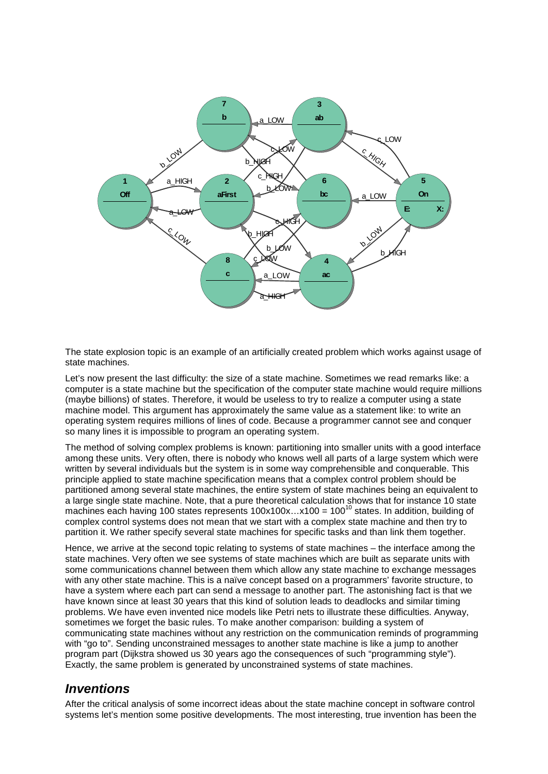

The state explosion topic is an example of an artificially created problem which works against usage of state machines.

Let's now present the last difficulty: the size of a state machine. Sometimes we read remarks like: a computer is a state machine but the specification of the computer state machine would require millions (maybe billions) of states. Therefore, it would be useless to try to realize a computer using a state machine model. This argument has approximately the same value as a statement like: to write an operating system requires millions of lines of code. Because a programmer cannot see and conquer so many lines it is impossible to program an operating system.

The method of solving complex problems is known: partitioning into smaller units with a good interface among these units. Very often, there is nobody who knows well all parts of a large system which were written by several individuals but the system is in some way comprehensible and conquerable. This principle applied to state machine specification means that a complex control problem should be partitioned among several state machines, the entire system of state machines being an equivalent to a large single state machine. Note, that a pure theoretical calculation shows that for instance 10 state machines each having 100 states represents  $100x100x...x100 = 100<sup>10</sup>$  states. In addition, building of complex control systems does not mean that we start with a complex state machine and then try to partition it. We rather specify several state machines for specific tasks and than link them together.

Hence, we arrive at the second topic relating to systems of state machines – the interface among the state machines. Very often we see systems of state machines which are built as separate units with some communications channel between them which allow any state machine to exchange messages with any other state machine. This is a naïve concept based on a programmers' favorite structure, to have a system where each part can send a message to another part. The astonishing fact is that we have known since at least 30 years that this kind of solution leads to deadlocks and similar timing problems. We have even invented nice models like Petri nets to illustrate these difficulties. Anyway, sometimes we forget the basic rules. To make another comparison: building a system of communicating state machines without any restriction on the communication reminds of programming with "go to". Sending unconstrained messages to another state machine is like a jump to another program part (Dijkstra showed us 30 years ago the consequences of such "programming style"). Exactly, the same problem is generated by unconstrained systems of state machines.

### *Inventions*

After the critical analysis of some incorrect ideas about the state machine concept in software control systems let's mention some positive developments. The most interesting, true invention has been the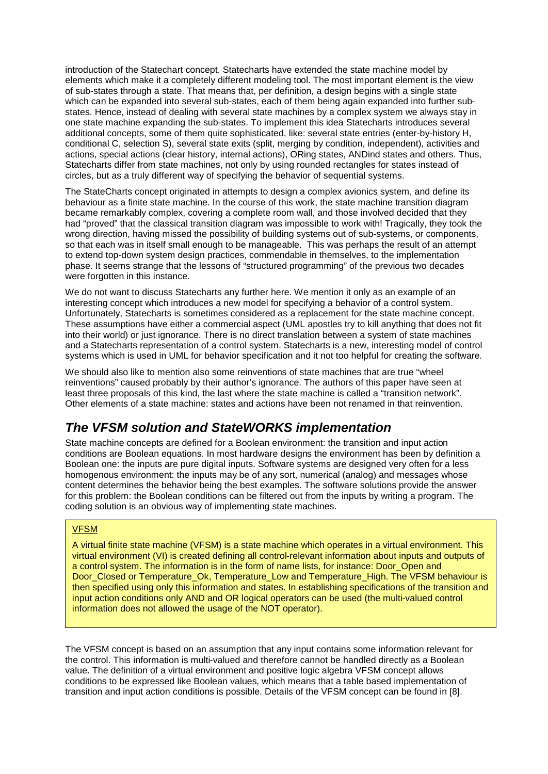introduction of the Statechart concept. Statecharts have extended the state machine model by elements which make it a completely different modeling tool. The most important element is the view of sub-states through a state. That means that, per definition, a design begins with a single state which can be expanded into several sub-states, each of them being again expanded into further substates. Hence, instead of dealing with several state machines by a complex system we always stay in one state machine expanding the sub-states. To implement this idea Statecharts introduces several additional concepts, some of them quite sophisticated, like: several state entries (enter-by-history H, conditional C, selection S), several state exits (split, merging by condition, independent), activities and actions, special actions (clear history, internal actions), ORing states, ANDind states and others. Thus, Statecharts differ from state machines, not only by using rounded rectangles for states instead of circles, but as a truly different way of specifying the behavior of sequential systems.

The StateCharts concept originated in attempts to design a complex avionics system, and define its behaviour as a finite state machine. In the course of this work, the state machine transition diagram became remarkably complex, covering a complete room wall, and those involved decided that they had "proved" that the classical transition diagram was impossible to work with! Tragically, they took the wrong direction, having missed the possibility of building systems out of sub-systems, or components, so that each was in itself small enough to be manageable. This was perhaps the result of an attempt to extend top-down system design practices, commendable in themselves, to the implementation phase. It seems strange that the lessons of "structured programming" of the previous two decades were forgotten in this instance.

We do not want to discuss Statecharts any further here. We mention it only as an example of an interesting concept which introduces a new model for specifying a behavior of a control system. Unfortunately, Statecharts is sometimes considered as a replacement for the state machine concept. These assumptions have either a commercial aspect (UML apostles try to kill anything that does not fit into their world) or just ignorance. There is no direct translation between a system of state machines and a Statecharts representation of a control system. Statecharts is a new, interesting model of control systems which is used in UML for behavior specification and it not too helpful for creating the software.

We should also like to mention also some reinventions of state machines that are true "wheel reinventions" caused probably by their author's ignorance. The authors of this paper have seen at least three proposals of this kind, the last where the state machine is called a "transition network". Other elements of a state machine: states and actions have been not renamed in that reinvention.

## *The VFSM solution and StateWORKS implementation*

State machine concepts are defined for a Boolean environment: the transition and input action conditions are Boolean equations. In most hardware designs the environment has been by definition a Boolean one: the inputs are pure digital inputs. Software systems are designed very often for a less homogenous environment: the inputs may be of any sort, numerical (analog) and messages whose content determines the behavior being the best examples. The software solutions provide the answer for this problem: the Boolean conditions can be filtered out from the inputs by writing a program. The coding solution is an obvious way of implementing state machines.

#### VFSM

A virtual finite state machine (VFSM) is a state machine which operates in a virtual environment. This virtual environment (VI) is created defining all control-relevant information about inputs and outputs of a control system. The information is in the form of name lists, for instance: Door\_Open and Door\_Closed or Temperature\_Ok, Temperature\_Low and Temperature\_High. The VFSM behaviour is then specified using only this information and states. In establishing specifications of the transition and input action conditions only AND and OR logical operators can be used (the multi-valued control information does not allowed the usage of the NOT operator).

The VFSM concept is based on an assumption that any input contains some information relevant for the control. This information is multi-valued and therefore cannot be handled directly as a Boolean value. The definition of a virtual environment and positive logic algebra VFSM concept allows conditions to be expressed like Boolean values, which means that a table based implementation of transition and input action conditions is possible. Details of the VFSM concept can be found in [8].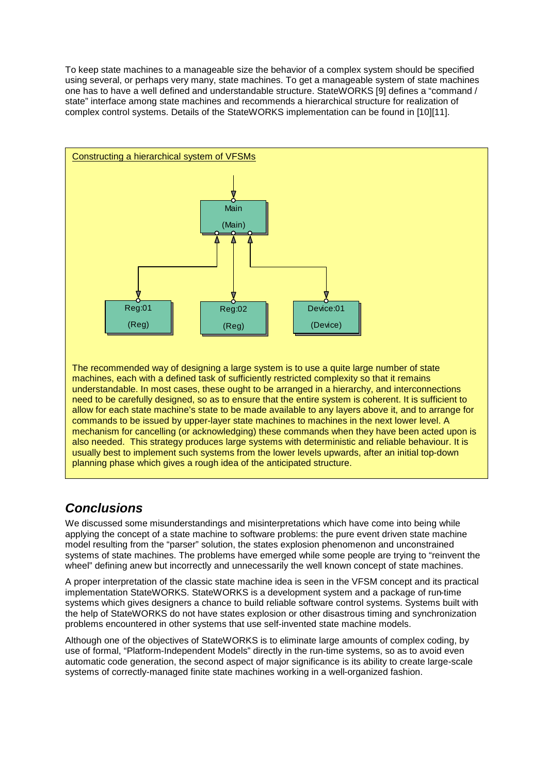To keep state machines to a manageable size the behavior of a complex system should be specified using several, or perhaps very many, state machines. To get a manageable system of state machines one has to have a well defined and understandable structure. StateWORKS [9] defines a "command / state" interface among state machines and recommends a hierarchical structure for realization of complex control systems. Details of the StateWORKS implementation can be found in [10][11].



machines, each with a defined task of sufficiently restricted complexity so that it remains understandable. In most cases, these ought to be arranged in a hierarchy, and interconnections need to be carefully designed, so as to ensure that the entire system is coherent. It is sufficient to allow for each state machine's state to be made available to any layers above it, and to arrange for commands to be issued by upper-layer state machines to machines in the next lower level. A mechanism for cancelling (or acknowledging) these commands when they have been acted upon is also needed. This strategy produces large systems with deterministic and reliable behaviour. It is usually best to implement such systems from the lower levels upwards, after an initial top-down planning phase which gives a rough idea of the anticipated structure.

## *Conclusions*

We discussed some misunderstandings and misinterpretations which have come into being while applying the concept of a state machine to software problems: the pure event driven state machine model resulting from the "parser" solution, the states explosion phenomenon and unconstrained systems of state machines. The problems have emerged while some people are trying to "reinvent the wheel" defining anew but incorrectly and unnecessarily the well known concept of state machines.

A proper interpretation of the classic state machine idea is seen in the VFSM concept and its practical implementation StateWORKS. StateWORKS is a development system and a package of run-time systems which gives designers a chance to build reliable software control systems. Systems built with the help of StateWORKS do not have states explosion or other disastrous timing and synchronization problems encountered in other systems that use self-invented state machine models.

Although one of the objectives of StateWORKS is to eliminate large amounts of complex coding, by use of formal, "Platform-Independent Models" directly in the run-time systems, so as to avoid even automatic code generation, the second aspect of major significance is its ability to create large-scale systems of correctly-managed finite state machines working in a well-organized fashion.